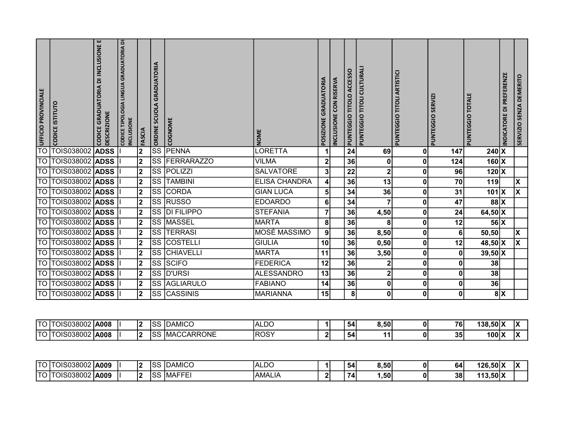| O UFFICIO PROVINCIALE | <b>CODICE ISTITUTO</b>                          | CODICE GRADUATORIA DI INCLUSIONE E<br><b>DESCRIZIONE</b> | <b>CODICE TIPOLOGIA LINGUA GRADUATORIA DI</b><br>INCLUSIONE |             | <b>ORDINE SCUOLA GRADUATORIA</b> | COGNOME                           |                      | POSIZIONE GRADUATORIA | INCLUSIONE CON RISERVA | PUNTEGGIO TITOLO ACCESSO | PUNTEGGIO TITOLI CULTURALI | PUNTEGGIO TITOLI ARTISTICI | PUNTEGGIO SERVIZI |                 | PUNTEGGIO TOTALE                   | INDICATORE DI PREFERENZE         | SERVIZIO SENZA DEMERITO |
|-----------------------|-------------------------------------------------|----------------------------------------------------------|-------------------------------------------------------------|-------------|----------------------------------|-----------------------------------|----------------------|-----------------------|------------------------|--------------------------|----------------------------|----------------------------|-------------------|-----------------|------------------------------------|----------------------------------|-------------------------|
|                       |                                                 |                                                          |                                                             | FASCIA      |                                  |                                   | <b>NOME</b>          |                       |                        |                          |                            |                            |                   |                 |                                    |                                  |                         |
|                       | <b>TOIS038002</b>                               | <b>ADSS</b>                                              |                                                             | 2           | $\overline{\text{ss}}$           | <b>PENNA</b>                      | LORETTA              | $\mathbf{1}$          |                        | 24                       | 69                         |                            | 0                 | 147             | $240\overline{\text{X}}$           |                                  |                         |
| $\overline{TO}$       | TOIS038002                                      | <b>ADSS</b>                                              |                                                             | 2           | <b>SS</b>                        | <b>FERRARAZZO</b>                 | <b>VILMA</b>         | 2                     |                        | 36                       | 0                          |                            | 0                 | 124             | $160 \mid X$                       |                                  |                         |
| TO                    | TOIS038002                                      | <b>ADSS</b>                                              |                                                             | 2           | $\overline{\text{SS}}$           | POLIZZI                           | <b>SALVATORE</b>     | $\mathbf{3}$          |                        | 22                       | $\mathbf 2$                |                            | 0                 | 96              | $120 \overline{X}$                 |                                  |                         |
|                       | TO TOIS038002 ADSS I                            |                                                          |                                                             | ر⊓          |                                  | <b>SS TAMBINI</b>                 | <b>ELISA CHANDRA</b> |                       |                        | 36                       | $\overline{13}$            |                            | 0                 | $\overline{70}$ | 119                                |                                  | X                       |
|                       | TO  TOIS038002   ADSS   I                       |                                                          |                                                             | $ 2\rangle$ |                                  | SS CORDA                          | <b>GIAN LUCA</b>     | 5 <sub>l</sub>        |                        | 34                       | 36                         |                            | 0l                | 31              | $101$ $X$                          |                                  | $\overline{\mathsf{x}}$ |
|                       | TO  TOIS038002   ADSS   I                       |                                                          |                                                             | $ 2\rangle$ |                                  | SS RUSSO                          | <b>EDOARDO</b>       | 6                     |                        | 34                       | $\overline{\mathbf{r}}$    |                            | 0                 | 47              | $88$ $X$                           |                                  |                         |
|                       | TO  TOIS038002 <b> ADSS</b>  I                  |                                                          |                                                             | $ 2\rangle$ |                                  | SS DI FILIPPO                     | <b>STEFANIA</b>      | 7                     |                        | 36                       | 4,50                       |                            | 0                 | 24              | $\overline{6}$ 4,50 $\overline{X}$ |                                  |                         |
|                       | <b>TO TOIS038002 ADSS</b>                       |                                                          |                                                             | 2           |                                  | SS MASSEL                         | <b>MARTA</b>         | 8 <sup>1</sup>        |                        | 36                       | 8                          |                            | 0                 | 12              |                                    | 56 X                             |                         |
|                       | TO TOIS038002 ADSS I                            |                                                          |                                                             | $ 2\rangle$ |                                  | <b>SS TERRASI</b>                 | MOSÈ MASSIMO         | 9                     |                        | 36                       | 8,50                       |                            | 0                 | 6               | 50,50                              |                                  | $\overline{\mathsf{x}}$ |
|                       | TO TOIS038002 ADSS                              |                                                          |                                                             | 2           |                                  | <b>SS COSTELLI</b>                | <b>GIULIA</b>        | 10                    |                        | 36                       | 0,50                       |                            | 01                | 12              | $48,50 \, \text{X}$                |                                  | $\overline{\mathsf{x}}$ |
|                       | TO TOIS038002 ADSS                              |                                                          |                                                             | $ 2\rangle$ |                                  | SS CHIAVELLI                      | <b>MARTA</b>         | 11                    |                        | 36                       | 3,50                       |                            | 0                 | 0               | $39,50$ X                          |                                  |                         |
|                       | TO  TOIS038002 <b> ADSS</b>  I                  |                                                          |                                                             | $ 2\rangle$ |                                  | <b>SS SCIFO</b>                   | <b>FEDERICA</b>      | 12                    |                        | 36                       | $\mathbf{2}$               |                            | 0                 | 0               | 38                                 |                                  |                         |
|                       | TO  TOIS038002 <b> ADSS</b>                     |                                                          |                                                             | $ 2\rangle$ |                                  | SS  D'URSI                        | <b>ALESSANDRO</b>    | 13                    |                        | 36                       | $\mathbf{2}$               |                            | 01                | $\mathbf{0}$    | 38                                 |                                  |                         |
|                       | TO TOIS038002 ADSS I                            |                                                          |                                                             | 2           |                                  | SS AGLIARULO                      | <b>FABIANO</b>       | 14                    |                        | 36                       |                            |                            | 01                | 0               | 36                                 |                                  |                         |
|                       | TO TOIS038002 ADSS                              |                                                          |                                                             | $\sqrt{2}$  |                                  | <b>SS CASSINIS</b>                | <b>MARIANNA</b>      | 15                    |                        | 8 <sup>1</sup>           | 0                          |                            | 0                 | 0               |                                    | 8 X                              |                         |
|                       |                                                 |                                                          |                                                             |             |                                  |                                   |                      |                       |                        |                          |                            |                            |                   |                 |                                    |                                  |                         |
|                       | TO TOIS038002 <b>A008</b><br>TO TOIS038002 A008 |                                                          |                                                             | $ 2\rangle$ |                                  | <b>SS DAMICO</b><br>SS MACCARRONE | <b>ALDO</b><br>ROSY  | 11<br>$\mathbf{2}$    |                        | 54<br>54                 | 8,50<br>11                 |                            | 0 <br> 0          | 76<br>35        | $138,50$ $X$                       | $100 \times \overline{) \times}$ | x                       |
|                       |                                                 |                                                          |                                                             | $\sqrt{2}$  |                                  |                                   |                      |                       |                        |                          |                            |                            |                   |                 |                                    |                                  |                         |

| ∩⊤  | TOIS038002 | lA009       |  | 10 <sub>c</sub><br>סטו | $\lambda$ , $\lambda$ , $\lambda$<br>∽<br>IDAMICO | $\Gamma$<br>TALDC |  | . .<br>54 | 8,50 |   | 64 | 126.50lX           | $\overline{\phantom{a}}$ |
|-----|------------|-------------|--|------------------------|---------------------------------------------------|-------------------|--|-----------|------|---|----|--------------------|--------------------------|
| $-$ | CIS038002  | <b>A00S</b> |  | .000<br>יסט            | .<br>IMAF'<br>ت سا                                | IAMALIA           |  | 14.       | ا50. | o | 38 | $13,50$ $X$<br>442 |                          |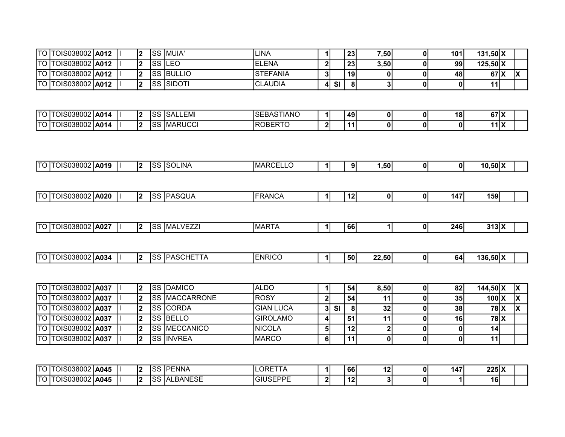| <b>TO TOIS038002 A012</b> |  |  | ISS IMUIA'         | <b>ILINA</b>    |    | 23 <sub>1</sub> | 7,50 | 101 | 131.50 X     |  |
|---------------------------|--|--|--------------------|-----------------|----|-----------------|------|-----|--------------|--|
| <b>TO TOIS038002 A012</b> |  |  | ISS ILEO           | LENA<br>IEI     |    | 23              | 3,50 | 99  | $125,50$ $X$ |  |
| <b>TO TOIS038002 A012</b> |  |  | <b>ISS BULLIO</b>  | <b>STEFANIA</b> |    | 19              |      | 48  | 67 X         |  |
| TO TOIS038002 <b>A012</b> |  |  | <b>ISS ISIDOTI</b> | <b>CLAUDIA</b>  | SI | 81              |      |     |              |  |

| ITO | OIS038002 <b>A014</b>        |             |  | nn.<br>ت⊙' | <b>SALLEMI</b>         | <b>FDACTIANO</b><br>$\sim$ r<br>`IANU<br>ISEBAS. |        | 49 | 01 | 18 | 271V<br>$\mathbf{v}$ | $\overline{\phantom{a}}$ |  |
|-----|------------------------------|-------------|--|------------|------------------------|--------------------------------------------------|--------|----|----|----|----------------------|--------------------------|--|
| ITO | 10000000<br><b>JIS038002</b> | <b>A014</b> |  | r.<br>ت⊙∵  | ,,,,,,,,,,<br>IMARUCCI | IROBERT <sup>~</sup><br>ט ו                      | $\sim$ | 44 | 01 | ΩI | 14 I V               | $\mathbf{H}$             |  |

| ITO IT | :038002-<br>$\sqrt{11}$ | <b>LA019</b> |  | $\sim$<br>دە . | <b>SOLINA</b> | <b>IMARCEI</b><br>ᄂᄂ |  | 91 | ⊣50، ، | ΩI | 01 | $10,50$ $\times$ |  |
|--------|-------------------------|--------------|--|----------------|---------------|----------------------|--|----|--------|----|----|------------------|--|
|        |                         |              |  |                |               |                      |  |    |        |    |    |                  |  |

| <b>ITO ITOIS038002</b> | A020 |  | م م،<br>ື | `ASQUA<br>. | <b>FRANCA</b> |  | 10<br>. . | ΩI | ΩI | 147 | 159 |  |
|------------------------|------|--|-----------|-------------|---------------|--|-----------|----|----|-----|-----|--|
|                        |      |  |           |             |               |  |           |    |    |     |     |  |

| ITO IT | OIS038002 | $-1027$ | $\overline{\phantom{a}}$ | ~~<br>. | _VEZ <sup>-</sup><br>. .<br>⇁<br>TMIAL<br>∼ | <b>IMARTA</b> |  | <b>66</b> |  | 246 | $313$ $X$ |  |
|--------|-----------|---------|--------------------------|---------|---------------------------------------------|---------------|--|-----------|--|-----|-----------|--|
|        |           |         |                          |         |                                             |               |  |           |  |     |           |  |

| <b>TO TOIS038002</b> | <b>A034</b> | . . | $\sim$<br>ے ت | AGCHETT<br>つハに<br>ıΛ<br>. . | <b>NRICO</b> |  | . 50 l | 2,50<br> | o | 64 | $136.50\text{X}$ |  |
|----------------------|-------------|-----|---------------|-----------------------------|--------------|--|--------|----------|---|----|------------------|--|
|                      |             |     |               |                             |              |  |        |          |   |    |                  |  |

| <b>TO TOIS038002 A037</b>   |  |  | ISS IDAMICO            | laldo            |    |           | 54 | 8.50 | 82' | 144,50 X |  |
|-----------------------------|--|--|------------------------|------------------|----|-----------|----|------|-----|----------|--|
| <b>TO TOIS038002 A037</b>   |  |  | <b>ISS IMACCARRONE</b> | ROSY             |    |           | 54 |      | 35  | $100\,X$ |  |
| <b>TO TOIS038002 A037</b>   |  |  | <b>ISS ICORDA</b>      | <b>GIAN LUCA</b> | 31 | <b>SI</b> |    | 32   | 38  | 78   X   |  |
| <b>TO TOIS038002 A037</b>   |  |  | <b>ISS IBELLO</b>      | GIROLAMO_        |    |           |    |      | 16  | 78   X   |  |
| <b>TO TOIS038002   A037</b> |  |  | <b>ISS IMECCANICO</b>  | INICOLA          |    |           |    |      |     |          |  |
| <b>TO TOIS038002 A037</b>   |  |  | <b>ISS INVREA</b>      | <b>IMARCO</b>    |    |           |    |      |     |          |  |

| $-$ | JIS038002 <b>A045</b> |      | . . | co.<br>ິ | <b>PENNA</b>            | ILORE <sup>.</sup><br>I I A |        | 66                           | ໍ່<br>ΙZ, | 147' | $225$ $X$ |  |
|-----|-----------------------|------|-----|----------|-------------------------|-----------------------------|--------|------------------------------|-----------|------|-----------|--|
| - - | S038002<br>. <u>.</u> | A045 |     | c<br>`∪⊂ | LBANESE<br>$\mathbf{v}$ | <b>IGIUSEPPE</b>            | $\sim$ | $\overline{A}$<br>$\epsilon$ |           |      | 16        |  |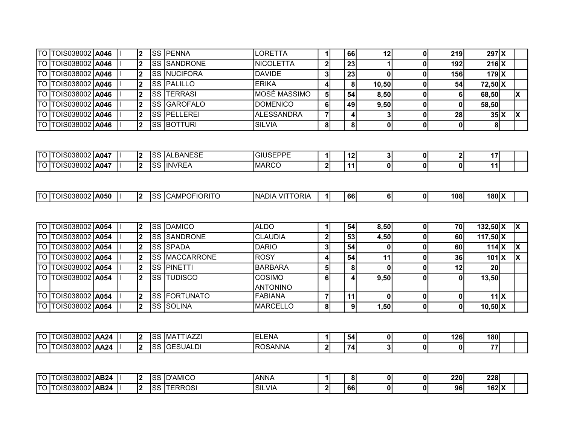| <b>TO TOIS038002 A046</b>   |  |       | ISS IPENNA           | ILORETTA          |    | 66             |       | 219 | 297X      |  |
|-----------------------------|--|-------|----------------------|-------------------|----|----------------|-------|-----|-----------|--|
| <b>TO TOIS038002 A046</b>   |  |       | <b>ISS ISANDRONE</b> | <b>INICOLETTA</b> |    | $^{\circ}$ 23. |       | 192 | $216$ $X$ |  |
| <b>TO TOIS038002   A046</b> |  |       | <b>ISS INUCIFORA</b> | DAVIDE            | 3  | $^{\circ}$ 23  |       | 156 | $179$ $X$ |  |
| <b>TO TOIS038002   A046</b> |  |       | <b>SS PALILLO</b>    | IERIKA            |    | 8              | 10.50 | 54  | 72.50 X   |  |
| <b>TO TOIS038002   A046</b> |  | ISS I | ITERRASI             | IMOSĖ MASSIMO     | 51 | 54             | 8,50  |     | 68,50     |  |
| <b>TO TOIS038002   A046</b> |  |       | <b>ISS GAROFALO</b>  | <b>IDOMENICO</b>  | 61 | 49             | 9,50  |     | 58,50     |  |
| <b>TO TOIS038002   A046</b> |  |       | <b>ISS IPELLEREI</b> | IALESSANDRA       |    |                |       | 28  | 35X       |  |
| <b>TO TOIS038002 A046</b>   |  |       | <b>ISS BOTTURI</b>   | ISILVIA           | 81 | 8              |       |     | 81        |  |

| רדו  | OIS038002 | IA047 |  | ື           | .— <b>^</b> —<br>BANESE<br>$\mathbf{v}$<br>∼ | <b>ICEDDE</b><br>$\sim$<br>(-il<br>חסנ<br>- |          | "<br>. .   | -<br> |    | . .<br>. . |  |
|------|-----------|-------|--|-------------|----------------------------------------------|---------------------------------------------|----------|------------|-------|----|------------|--|
| ית - | IS038002  | A047  |  | $\sim$<br>◡ | $\sim$<br>۱N۱<br>… / ப ட<br>11 N∟.           | <b>IMARCC</b>                               | - 21<br> | л л<br>. . | ΩI    | 01 | . .        |  |

| TO TOIS038002 A054        |  |                |       | <b>SS DAMICO</b>     | ALDO            |    | 54 | 8,50 | 70 | $132,50 \, X$    |  |
|---------------------------|--|----------------|-------|----------------------|-----------------|----|----|------|----|------------------|--|
| TO TOIS038002   A054      |  | $\overline{2}$ |       | <b>ISS ISANDRONE</b> | ICLAUDIA        | ച  | 53 | 4,50 | 60 | $117,50$ X       |  |
| TO TOIS038002   A054      |  | 2              |       | ISS ISPADA           | <b>DARIO</b>    | 31 | 54 |      | 60 | $114$ $X$        |  |
| TO TOIS038002 A054        |  |                |       | ISS IMACCARRONE      | ROSY            |    | 54 | 11   | 36 | 101 <sub>X</sub> |  |
| TO TOIS038002 <b>A054</b> |  | 2              |       | ISS IPINETTI         | <b>BARBARA</b>  | 51 | 81 |      | 12 | 20               |  |
| <b>TO TOIS038002 A054</b> |  |                | ISS I | <b>TUDISCO</b>       | ICOSIMO         | 61 | 4  | 9,50 |    | 13,50            |  |
|                           |  |                |       |                      | <b>ANTONINO</b> |    |    |      |    |                  |  |
| <b>TO TOIS038002 A054</b> |  |                |       | ISS IFORTUNATO       | IFABIANA        |    | 11 |      |    | 11 <sup>1</sup>  |  |
| <b>TO TOIS038002 A054</b> |  | 0              |       | ISS ISOLINA          | IMARCELLO       | 81 | 91 | ,501 | 0  | $10,50$ X        |  |

| ∩⊤ו | OIS038002 | <b>AA24</b> |  | 10C<br>155 | . <del>. .</del> .<br>ıMA<br>HAZZ | -<br>$- \cdot \cdot$<br>ENA |      | -<br>54 | ΩI | 126 | 180l |  |
|-----|-----------|-------------|--|------------|-----------------------------------|-----------------------------|------|---------|----|-----|------|--|
| Ιт∩ | OIS038002 | AA24        |  | 100<br>טו  | 1050111151<br>IGESUALDI           | IROSANNA                    | - 21 | 74      | J. |     | 77.  |  |

| ∩⊤ו | OIS038002 AB24 |      |     | $\sim$<br>∙∪ | <b>ID'AMICO</b>    | ANNA          |  | 81 |  | 220 | 228       |  |
|-----|----------------|------|-----|--------------|--------------------|---------------|--|----|--|-----|-----------|--|
| TTC | OIS038002      | AB24 | . . | $\sim$<br>ںں | TEDDASI<br>RR<br>w | <b>SILVIA</b> |  | 66 |  | 96  | $162$ $X$ |  |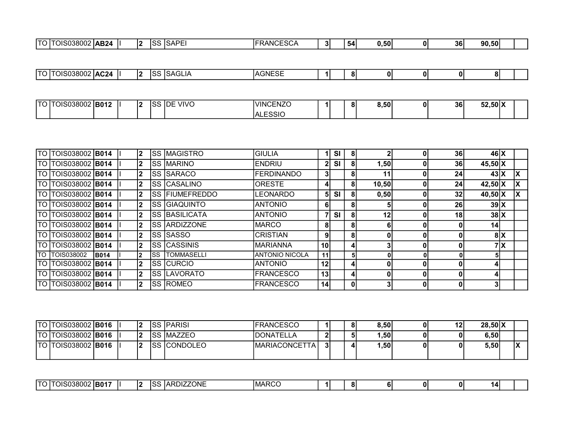| יו הדו<br><b>AC24</b><br>.3NF<br>י נז נ<br>.<br>. .<br>0<br>ΩI<br>. N<br>n<br>$\Omega$<br>$^{\prime\prime}$<br>1 U<br>- טווי<br>01<br>いへい<br>Q<br>∍งเ<br>ن د ا |  |  |  |  |  |  |  |  |  |
|----------------------------------------------------------------------------------------------------------------------------------------------------------------|--|--|--|--|--|--|--|--|--|
|                                                                                                                                                                |  |  |  |  |  |  |  |  |  |

| $\tau \cap \Gamma$ | OIS038002   <b>B012</b> |  | י | Inc<br>VIVC<br>பட<br>л. | <b>VINCENZO</b>            |  | റ | 3,50 | n | 36 <sub>l</sub> | 52,50 X |  |
|--------------------|-------------------------|--|---|-------------------------|----------------------------|--|---|------|---|-----------------|---------|--|
|                    |                         |  |   |                         | FOMC<br><b>ALL</b><br>ಾುಗಿ |  |   |      |   |                 |         |  |

| TO I | TOIS038002 B014           |             | $\mathbf{2}$ |      | <b>SS MAGISTRO</b>    | <b>GIULIA</b>     | -1.             | SI        | 8              |                 |    | 36 | $46$ $X$     |     |   |
|------|---------------------------|-------------|--------------|------|-----------------------|-------------------|-----------------|-----------|----------------|-----------------|----|----|--------------|-----|---|
|      | TO TOIS038002 <b>B014</b> |             | $\mathbf{2}$ |      | <b>SS MARINO</b>      | <b>ENDRIU</b>     | 2 <sup>1</sup>  | <b>SI</b> | 81             | 1,50            |    | 36 | $45,50$ X    |     |   |
|      | TO TOIS038002 <b>B014</b> |             | $\mathbf{2}$ |      | <b>SS SARACO</b>      | <b>FERDINANDO</b> | 31              |           | 81             | 11              |    | 24 | 43X          |     | X |
|      | TO TOIS038002 <b>B014</b> |             | $\mathbf{2}$ |      | <b>SS CASALINO</b>    | <b>ORESTE</b>     | 4.              |           | 81             | 10,50           |    | 24 | $42,50 \, X$ |     |   |
|      | TO TOIS038002 B014        |             | $\mathbf{2}$ |      | <b>SS FIUMEFREDDO</b> | <b>LEONARDO</b>   | 51              | <b>SI</b> | 81             | 0,50            |    | 32 | $40,50$ X    |     |   |
|      | TO TOIS038002 <b>B014</b> |             | $\mathbf{2}$ |      | <b>SS GIAQUINTO</b>   | <b>ANTONIO</b>    | 61              |           | 81             |                 |    | 26 | 39 X         |     |   |
|      | TO TOIS038002 B014        |             | $\mathbf{2}$ |      | <b>SS BASILICATA</b>  | <b>ANTONIO</b>    | 71              | <b>SI</b> | 8              | 12 <sub>1</sub> |    | 18 | $38$ $X$     |     |   |
|      | TO TOIS038002 <b>B014</b> |             | $\mathbf{2}$ |      | <b>SS ARDIZZONE</b>   | <b>MARCO</b>      | 81              |           | 81             | 6               |    |    | 14           |     |   |
|      | TO TOIS038002 B014        |             | $\mathbf{2}$ |      | <b>SS SASSO</b>       | <b>CRISTIAN</b>   | 91              |           | 81             | 0               | ΩI |    |              | 8 X |   |
|      | TO TOIS038002 <b>B014</b> |             | $\mathbf{2}$ |      | <b>ISS CASSINIS</b>   | <b>MARIANNA</b>   | 10 <sup>1</sup> |           | 4 <sub>1</sub> |                 |    |    |              | 7 X |   |
| TO I | <b>TOIS038002</b>         | <b>B014</b> | 2            | ISS. | <b>TOMMASELLI</b>     | IANTONIO NICOLA   | 11              |           | 51             |                 |    |    | 51           |     |   |
|      | TO TOIS038002 B014        |             | 2            |      | ISS ICURCIO           | <b>ANTONIO</b>    | 12 <sup>1</sup> |           | 4 <sub>1</sub> |                 |    |    | 41           |     |   |
|      | TO TOIS038002 <b>B014</b> |             | $\mathbf{2}$ |      | <b>SS LAVORATO</b>    | <b>FRANCESCO</b>  | 13 <sup>l</sup> |           | 4 <sub>1</sub> |                 |    |    | 4            |     |   |
|      | TO TOIS038002 B014        |             | $\mathbf{2}$ |      | <b>ISS ROMEO</b>      | <b>FRANCESCO</b>  | 14              |           | 0              |                 |    |    | 3            |     |   |

|         | TO  TOIS038002   <b>B016</b> |  |      | ISS  PARISI      | <b>IFRANCESCO</b>    |   | 81 | 8,50 | 12 | $28,50 \, \text{X}$                                   |  |
|---------|------------------------------|--|------|------------------|----------------------|---|----|------|----|-------------------------------------------------------|--|
| הו סדי  | TOIS038002 <b>  B016</b>     |  | ıSS. | <b>IMAZZEC</b>   | <b>IDONATELLA</b>    | י | ы  | ,50  |    | 6.50                                                  |  |
| 'TO l`i | [OIS038002 <b>  B016</b>     |  | `SS∶ | <b>ICONDOLEO</b> | <b>MARIACONCETTA</b> |   | 4. | , 50 |    | $3,50$ <sup><math>\overline{\phantom{0}}</math></sup> |  |

| $-$ | -----<br>ារឧ∪∪<br>−™OISu… | ∶IB01 |  | . . | ، ۱۰<br>. JL | -----<br>יי<br>ONE<br>$\mathbf{v}$ | IMARCC |  |  | <sup>o</sup> | o |  |  | 14 |  |  |
|-----|---------------------------|-------|--|-----|--------------|------------------------------------|--------|--|--|--------------|---|--|--|----|--|--|
|-----|---------------------------|-------|--|-----|--------------|------------------------------------|--------|--|--|--------------|---|--|--|----|--|--|